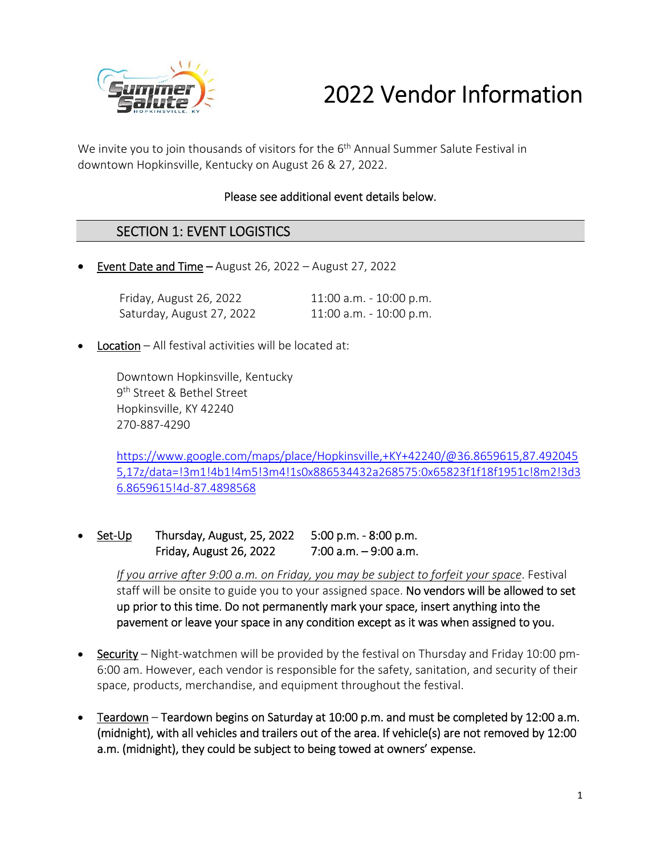

# 2022 Vendor Information

We invite you to join thousands of visitors for the 6<sup>th</sup> Annual Summer Salute Festival in downtown Hopkinsville, Kentucky on August 26 & 27, 2022.

#### Please see additional event details below.

#### SECTION 1: EVENT LOGISTICS

**Event Date and Time – August 26, 2022 – August 27, 2022** 

| Friday, August 26, 2022   | $11:00$ a.m. $-10:00$ p.m. |
|---------------------------|----------------------------|
| Saturday, August 27, 2022 | 11:00 a.m. - 10:00 p.m.    |

Location – All festival activities will be located at:

Downtown Hopkinsville, Kentucky 9<sup>th</sup> Street & Bethel Street Hopkinsville, KY 42240 270‐887‐4290

https://www.google.com/maps/place/Hopkinsville,+KY+42240/@36.8659615,87.492045 5,17z/data=!3m1!4b1!4m5!3m4!1s0x886534432a268575:0x65823f1f18f1951c!8m2!3d3 6.8659615!4d‐87.4898568

 Set‐Up Thursday, August, 25, 2022 5:00 p.m. ‐ 8:00 p.m. Friday, August 26, 2022 7:00 a.m. – 9:00 a.m.

> *If you arrive after 9:00 a.m. on Friday, you may be subject to forfeit your space*. Festival staff will be onsite to guide you to your assigned space. No vendors will be allowed to set up prior to this time. Do not permanently mark your space, insert anything into the pavement or leave your space in any condition except as it was when assigned to you.

- Security Night-watchmen will be provided by the festival on Thursday and Friday 10:00 pm-6:00 am. However, each vendor is responsible for the safety, sanitation, and security of their space, products, merchandise, and equipment throughout the festival.
- Teardown Teardown begins on Saturday at 10:00 p.m. and must be completed by 12:00 a.m. (midnight), with all vehicles and trailers out of the area. If vehicle(s) are not removed by 12:00 a.m. (midnight), they could be subject to being towed at owners' expense.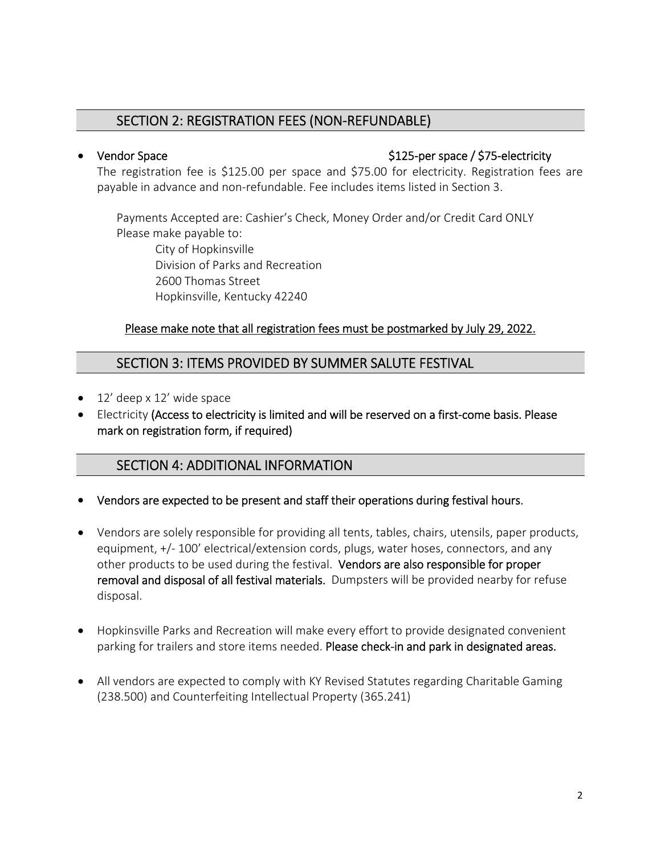#### SECTION 2: REGISTRATION FEES (NON‐REFUNDABLE)

#### Vendor Space \$125‐per space / \$75‐electricity

The registration fee is \$125.00 per space and \$75.00 for electricity. Registration fees are payable in advance and non‐refundable. Fee includes items listed in Section 3.

Payments Accepted are: Cashier's Check, Money Order and/or Credit Card ONLY Please make payable to:

City of Hopkinsville Division of Parks and Recreation 2600 Thomas Street Hopkinsville, Kentucky 42240

#### Please make note that all registration fees must be postmarked by July 29, 2022.

#### SECTION 3: ITEMS PROVIDED BY SUMMER SALUTE FESTIVAL

- 12' deep x 12' wide space
- Electricity (Access to electricity is limited and will be reserved on a first-come basis. Please mark on registration form, if required)

#### SECTION 4: ADDITIONAL INFORMATION

- Vendors are expected to be present and staff their operations during festival hours.
- Vendors are solely responsible for providing all tents, tables, chairs, utensils, paper products, equipment, +/-100' electrical/extension cords, plugs, water hoses, connectors, and any other products to be used during the festival. Vendors are also responsible for proper removal and disposal of all festival materials. Dumpsters will be provided nearby for refuse disposal.
- Hopkinsville Parks and Recreation will make every effort to provide designated convenient parking for trailers and store items needed. Please check-in and park in designated areas.
- All vendors are expected to comply with KY Revised Statutes regarding Charitable Gaming (238.500) and Counterfeiting Intellectual Property (365.241)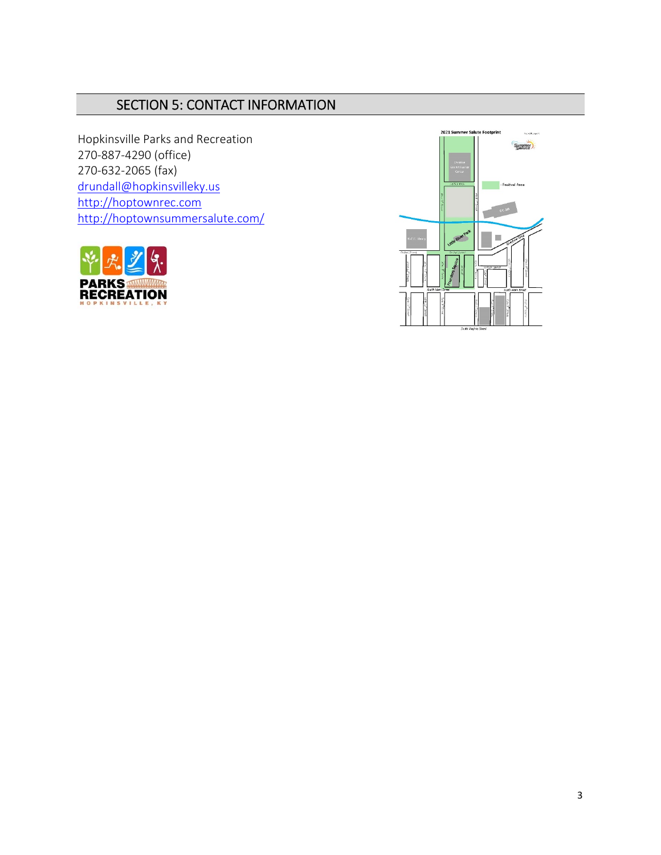### SECTION 5: CONTACT INFORMATION

Hopkinsville Parks and Recreation 270‐887‐4290 (office) 270‐632‐2065 (fax) drundall@hopkinsvilleky.us http://hoptownrec.com http://hoptownsummersalute.com/